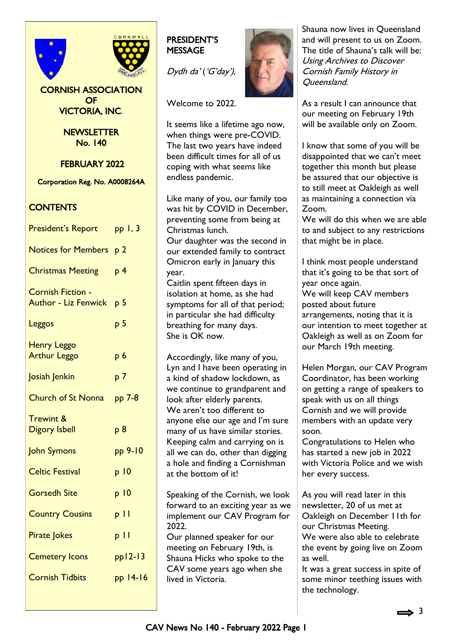

CORNISH ASSOCIATION OF VICTORIA, INC.

> **NEWSLETTER** No. 140

FEBRUARY 2022

Corporation Reg. No. A0008264A

## **CONTENTS**

| <b>President's Report</b>                               | $pp$ $l, 3$     |
|---------------------------------------------------------|-----------------|
| Notices for Members p 2                                 |                 |
| <b>Christmas Meeting</b>                                | p <sub>4</sub>  |
| <b>Cornish Fiction -</b><br><b>Author - Liz Fenwick</b> | p <sub>5</sub>  |
| Leggos                                                  | p 5             |
| <b>Henry Leggo</b><br><b>Arthur Leggo</b>               | p <sub>6</sub>  |
| Josiah Jenkin                                           | p 7             |
| <b>Church of St Nonna</b>                               | pp 7-8          |
| <b>Trewint &amp;</b><br><b>Digory Isbell</b>            | p <sub>8</sub>  |
| <b>John Symons</b>                                      | pp 9-10         |
| <b>Celtic Festival</b>                                  | p <sub>10</sub> |
| <b>Gorsedh Site</b>                                     | p <sub>10</sub> |
| <b>Country Cousins</b>                                  | $p \mid \mid$   |
| <b>Pirate Jokes</b>                                     | $p \mid \mid$   |
| <b>Cemetery Icons</b>                                   | $pp12-13$       |
| <b>Cornish Tidbits</b>                                  | pp 14-16        |
|                                                         |                 |

## PRESIDENT'S **MESSAGE**

Dydh da' ('G'day'),

Welcome to 2022.

It seems like a lifetime ago now, when things were pre-COVID. The last two years have indeed been difficult times for all of us coping with what seems like endless pandemic.

Like many of you, our family too was hit by COVID in December, preventing some from being at Christmas lunch. Our daughter was the second in our extended family to contract Omicron early in January this year.

Caitlin spent fifteen days in isolation at home, as she had symptoms for all of that period; in particular she had difficulty breathing for many days. She is OK now.

Accordingly, like many of you, Lyn and I have been operating in a kind of shadow lockdown, as we continue to grandparent and look after elderly parents. We aren't too different to anyone else our age and I'm sure many of us have similar stories. Keeping calm and carrying on is all we can do, other than digging a hole and finding a Cornishman at the bottom of it!

Speaking of the Cornish, we look forward to an exciting year as we implement our CAV Program for 2022.

Our planned speaker for our meeting on February 19th, is Shauna Hicks who spoke to the CAV some years ago when she lived in Victoria.



Shauna now lives in Queensland and will present to us on Zoom. The title of Shauna's talk will be: Using Archives to Discover Cornish Family History in Queensland.

As a result I can announce that our meeting on February 19th will be available only on Zoom.

I know that some of you will be disappointed that we can't meet together this month but please be assured that our objective is to still meet at Oakleigh as well as maintaining a connection via Zoom.

We will do this when we are able to and subject to any restrictions that might be in place.

I think most people understand that it's going to be that sort of year once again.

We will keep CAV members posted about future arrangements, noting that it is our intention to meet together at Oakleigh as well as on Zoom for our March 19th meeting.

Helen Morgan, our CAV Program Coordinator, has been working on getting a range of speakers to speak with us on all things Cornish and we will provide members with an update very soon.

Congratulations to Helen who has started a new job in 2022 with Victoria Police and we wish her every success.

As you will read later in this newsletter, 20 of us met at Oakleigh on December 11th for our Christmas Meeting. We were also able to celebrate the event by going live on Zoom as well.

It was a great success in spite of some minor teething issues with the technology.

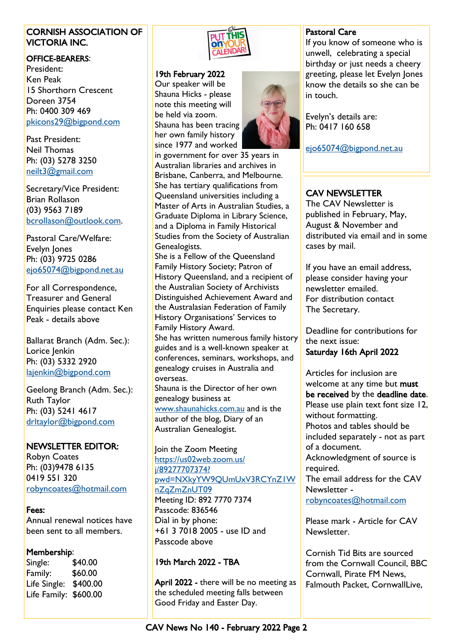## CORNISH ASSOCIATION OF VICTORIA INC.

#### OFFICE-BEARERS:

President: Ken Peak 15 Shorthorn Crescent Doreen 3754 Ph: 0400 309 469 [pkicons29@bigpond.com](mailto:pkicons29@bigpond.com)

Past President: Neil Thomas Ph: (03) 5278 3250 [neilt3@gmail.com](mailto:neilt3@gmail.com)

Secretary/Vice President: Brian Rollason (03) 9563 7189 [bcrollason@outlook.com.](mailto:bcrollason@outlook.com)

Pastoral Care/Welfare: Evelyn Jones Ph: (03) 9725 0286 [ejo65074@bigpond.net.au](mailto:ejo65074@bigpond.net.au)

For all Correspondence, Treasurer and General Enquiries please contact Ken Peak - details above

Ballarat Branch (Adm. Sec.): Lorice Jenkin Ph: (03) 5332 2920 [lajenkin@bigpond.com](mailto:lajenkin@bigpond.com)

Geelong Branch (Adm. Sec.): Ruth Taylor Ph: (03) 5241 4617 [drltaylor@bigpond.com](mailto:drltaylor@bigpond.com)

## NEWSLETTER EDITOR:

Robyn Coates Ph: (03)9478 6135 0419 551 320 [robyncoates@hotmail.com](mailto:robyncoates@hotmail.com)

## Fees:

Annual renewal notices have been sent to all members.

#### Membership:

Single: \$40.00 Family: \$60.00 Life Single: \$400.00 Life Family: \$600.00



#### 19th February 2022

Our speaker will be Shauna Hicks - please note this meeting will be held via zoom. Shauna has been tracing

her own family history since 1977 and worked

in government for over 35 years in Australian libraries and archives in Brisbane, Canberra, and Melbourne. She has tertiary qualifications from Queensland universities including a Master of Arts in Australian Studies, a Graduate Diploma in Library Science, and a Diploma in Family Historical Studies from the Society of Australian Genealogists.

She is a Fellow of the Queensland Family History Society; Patron of History Queensland, and a recipient of the Australian Society of Archivists Distinguished Achievement Award and the Australasian Federation of Family History Organisations' Services to Family History Award.

She has written numerous family history guides and is a well-known speaker at conferences, seminars, workshops, and genealogy cruises in Australia and overseas.

Shauna is the Director of her own genealogy business at

[www.shaunahicks.com.au](http://www.shaunahicks.com.au) and is the author of the blog, Diary of an Australian Genealogist.

#### Join the Zoom Meeting [https://us02web.zoom.us/](https://us02web.zoom.us/j/89277707374?pwd=NXkyYW9QUmUxV3RCYnZ1WnZqZmZnUT09) [j/89277707374?](https://us02web.zoom.us/j/89277707374?pwd=NXkyYW9QUmUxV3RCYnZ1WnZqZmZnUT09) [pwd=NXkyYW9QUmUxV3RCYnZ1W](https://us02web.zoom.us/j/89277707374?pwd=NXkyYW9QUmUxV3RCYnZ1WnZqZmZnUT09) [nZqZmZnUT09](https://us02web.zoom.us/j/89277707374?pwd=NXkyYW9QUmUxV3RCYnZ1WnZqZmZnUT09) Meeting ID: 892 7770 7374 Passcode: 836546 Dial in by phone: +61 3 7018 2005 - use ID and Passcode above

## 19th March 2022 - TBA

April 2022 - there will be no meeting as the scheduled meeting falls between Good Friday and Easter Day.

## Pastoral Care

If you know of someone who is unwell, celebrating a special birthday or just needs a cheery greeting, please let Evelyn Jones know the details so she can be in touch.

Evelyn's details are: Ph: 0417 160 658

[ejo65074@bigpond.net.au](mailto:ejo65074@bigpond.net.au)

## CAV NEWSLETTER

The CAV Newsletter is published in February, May, August & November and distributed via email and in some cases by mail.

If you have an email address, please consider having your newsletter emailed. For distribution contact The Secretary.

Deadline for contributions for the next issue:

Saturday 16th April 2022

Articles for inclusion are welcome at any time but must be received by the deadline date. Please use plain text font size 12, without formatting. Photos and tables should be included separately - not as part of a document. Acknowledgment of source is required. The email address for the CAV

Newsletter [robyncoates@hotmail.com](mailto:robyncoates@hotmail.com)

Please mark - Article for CAV Newsletter.

Cornish Tid Bits are sourced from the Cornwall Council, BBC Cornwall, Pirate FM News, Falmouth Packet, CornwallLive,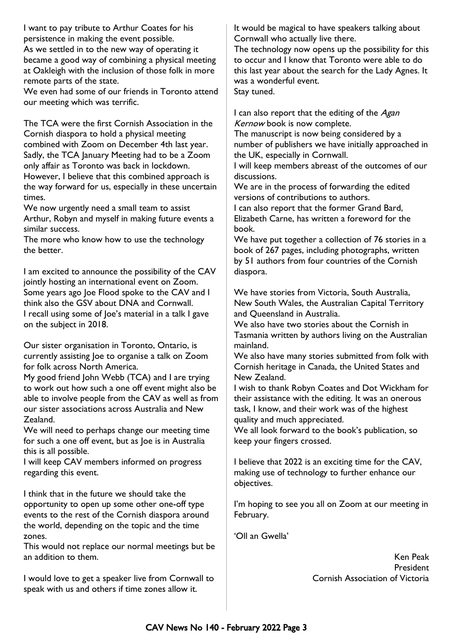I want to pay tribute to Arthur Coates for his persistence in making the event possible. As we settled in to the new way of operating it

became a good way of combining a physical meeting at Oakleigh with the inclusion of those folk in more remote parts of the state.

We even had some of our friends in Toronto attend our meeting which was terrific.

The TCA were the first Cornish Association in the Cornish diaspora to hold a physical meeting combined with Zoom on December 4th last year. Sadly, the TCA January Meeting had to be a Zoom only affair as Toronto was back in lockdown. However, I believe that this combined approach is the way forward for us, especially in these uncertain times.

We now urgently need a small team to assist Arthur, Robyn and myself in making future events a similar success.

The more who know how to use the technology the better.

I am excited to announce the possibility of the CAV jointly hosting an international event on Zoom. Some years ago Joe Flood spoke to the CAV and I think also the GSV about DNA and Cornwall. I recall using some of Joe's material in a talk I gave on the subject in 2018.

Our sister organisation in Toronto, Ontario, is currently assisting Joe to organise a talk on Zoom for folk across North America.

My good friend John Webb (TCA) and I are trying to work out how such a one off event might also be able to involve people from the CAV as well as from our sister associations across Australia and New Zealand.

We will need to perhaps change our meeting time for such a one off event, but as Joe is in Australia this is all possible.

I will keep CAV members informed on progress regarding this event.

I think that in the future we should take the opportunity to open up some other one-off type events to the rest of the Cornish diaspora around the world, depending on the topic and the time zones.

This would not replace our normal meetings but be an addition to them.

I would love to get a speaker live from Cornwall to speak with us and others if time zones allow it.

It would be magical to have speakers talking about Cornwall who actually live there.

The technology now opens up the possibility for this to occur and I know that Toronto were able to do this last year about the search for the Lady Agnes. It was a wonderful event. Stay tuned.

I can also report that the editing of the Agan Kernow book is now complete.

The manuscript is now being considered by a number of publishers we have initially approached in the UK, especially in Cornwall.

I will keep members abreast of the outcomes of our discussions.

We are in the process of forwarding the edited versions of contributions to authors.

I can also report that the former Grand Bard, Elizabeth Carne, has written a foreword for the book.

We have put together a collection of 76 stories in a book of 267 pages, including photographs, written by 51 authors from four countries of the Cornish diaspora.

We have stories from Victoria, South Australia, New South Wales, the Australian Capital Territory and Queensland in Australia.

We also have two stories about the Cornish in Tasmania written by authors living on the Australian mainland.

We also have many stories submitted from folk with Cornish heritage in Canada, the United States and New Zealand.

I wish to thank Robyn Coates and Dot Wickham for their assistance with the editing. It was an onerous task, I know, and their work was of the highest quality and much appreciated.

We all look forward to the book's publication, so keep your fingers crossed.

I believe that 2022 is an exciting time for the CAV, making use of technology to further enhance our objectives.

I'm hoping to see you all on Zoom at our meeting in February.

'Oll an Gwella'

Ken Peak President Cornish Association of Victoria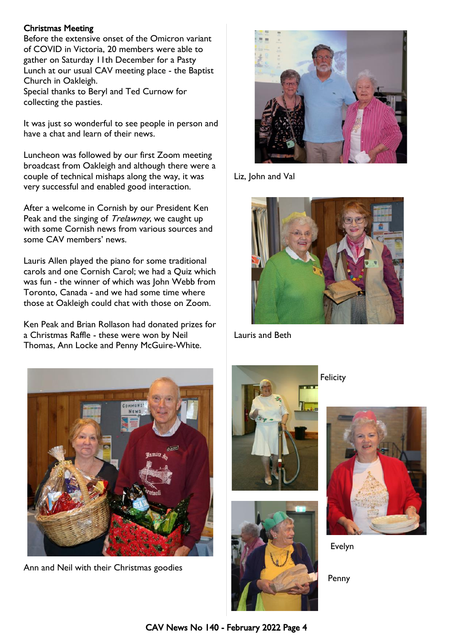#### Christmas Meeting

Before the extensive onset of the Omicron variant of COVID in Victoria, 20 members were able to gather on Saturday 11th December for a Pasty Lunch at our usual CAV meeting place - the Baptist Church in Oakleigh.

Special thanks to Beryl and Ted Curnow for collecting the pasties.

It was just so wonderful to see people in person and have a chat and learn of their news.

Luncheon was followed by our first Zoom meeting broadcast from Oakleigh and although there were a couple of technical mishaps along the way, it was very successful and enabled good interaction.

After a welcome in Cornish by our President Ken Peak and the singing of *Trelawney*, we caught up with some Cornish news from various sources and some CAV members' news.

Lauris Allen played the piano for some traditional carols and one Cornish Carol; we had a Quiz which was fun - the winner of which was John Webb from Toronto, Canada - and we had some time where those at Oakleigh could chat with those on Zoom.

Ken Peak and Brian Rollason had donated prizes for a Christmas Raffle - these were won by Neil Thomas, Ann Locke and Penny McGuire-White.



Liz, John and Val



Lauris and Beth



Ann and Neil with their Christmas goodies





**Felicity** 



Evelyn

Penny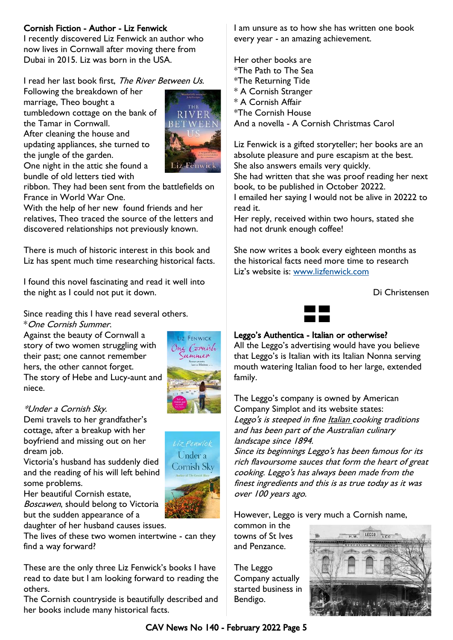## Cornish Fiction - Author - Liz Fenwick

I recently discovered Liz Fenwick an author who now lives in Cornwall after moving there from Dubai in 2015. Liz was born in the USA.

I read her last book first, The River Between Us.

Following the breakdown of her marriage, Theo bought a tumbledown cottage on the bank of the Tamar in Cornwall. After cleaning the house and updating appliances, she turned to the jungle of the garden. One night in the attic she found a bundle of old letters tied with



ribbon. They had been sent from the battlefields on France in World War One.

With the help of her new found friends and her relatives, Theo traced the source of the letters and discovered relationships not previously known.

There is much of historic interest in this book and Liz has spent much time researching historical facts.

I found this novel fascinating and read it well into the night as I could not put it down.

Since reading this I have read several others. \*One Cornish Summer.

Against the beauty of Cornwall a story of two women struggling with their past; one cannot remember hers, the other cannot forget. The story of Hebe and Lucy-aunt and niece.



#### \*Under a Cornish Sky.

Demi travels to her grandfather's cottage, after a breakup with her boyfriend and missing out on her dream job.

Victoria's husband has suddenly died and the reading of his will left behind some problems.



daughter of her husband causes issues.

The lives of these two women intertwine - can they find a way forward?

These are the only three Liz Fenwick's books I have read to date but I am looking forward to reading the others.

The Cornish countryside is beautifully described and her books include many historical facts.

I am unsure as to how she has written one book every year - an amazing achievement.

Her other books are \*The Path to The Sea \*The Returning Tide \* A Cornish Stranger \* A Cornish Affair \*The Cornish House And a novella - A Cornish Christmas Carol

Liz Fenwick is a gifted storyteller; her books are an absolute pleasure and pure escapism at the best. She also answers emails very quickly.

She had written that she was proof reading her next book, to be published in October 20222.

I emailed her saying I would not be alive in 20222 to read it.

Her reply, received within two hours, stated she had not drunk enough coffee!

She now writes a book every eighteen months as the historical facts need more time to research Liz's website is: [www.lizfenwick.com](http://www.lizfenwick.com)

Di Christensen



#### Leggo's Authentica - Italian or otherwise?

All the Leggo's advertising would have you believe that Leggo's is Italian with its Italian Nonna serving mouth watering Italian food to her large, extended family.

The Leggo's company is owned by American Company Simplot and its website states: Leggo's is steeped in fine Italian cooking traditions and has been part of the Australian culinary landscape since 1894.

Since its beginnings Leggo's has been famous for its rich flavoursome sauces that form the heart of great cooking. Leggo's has always been made from the finest ingredients and this is as true today as it was over 100 years ago.

However, Leggo is very much a Cornish name,

common in the towns of St Ives and Penzance.

The Leggo Company actually started business in Bendigo.



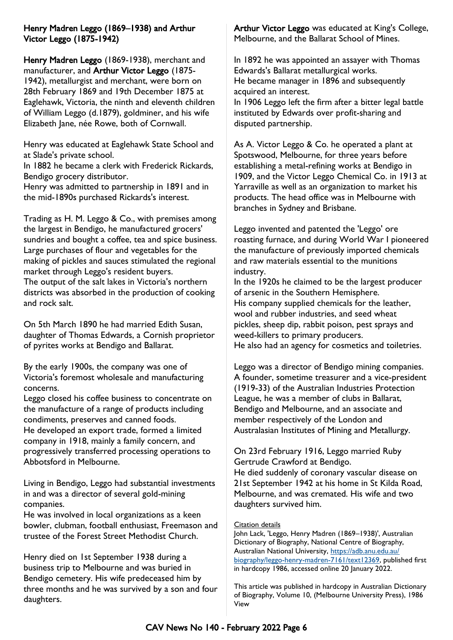## Henry Madren Leggo (1869–1938) and Arthur Victor Leggo (1875-1942)

Henry Madren Leggo (1869-1938), merchant and manufacturer, and Arthur Victor Leggo (1875-1942), metallurgist and merchant, were born on 28th February 1869 and 19th December 1875 at Eaglehawk, Victoria, the ninth and eleventh children of William Leggo (d.1879), goldminer, and his wife Elizabeth Jane, née Rowe, both of Cornwall.

Henry was educated at Eaglehawk State School and at Slade's private school.

In 1882 he became a clerk with Frederick Rickards, Bendigo grocery distributor.

Henry was admitted to partnership in 1891 and in the mid-1890s purchased Rickards's interest.

Trading as H. M. Leggo & Co., with premises among the largest in Bendigo, he manufactured grocers' sundries and bought a coffee, tea and spice business. Large purchases of flour and vegetables for the making of pickles and sauces stimulated the regional market through Leggo's resident buyers. The output of the salt lakes in Victoria's northern districts was absorbed in the production of cooking and rock salt.

On 5th March 1890 he had married Edith Susan, daughter of Thomas Edwards, a Cornish proprietor of pyrites works at Bendigo and Ballarat.

By the early 1900s, the company was one of Victoria's foremost wholesale and manufacturing concerns.

Leggo closed his coffee business to concentrate on the manufacture of a range of products including condiments, preserves and canned foods. He developed an export trade, formed a limited company in 1918, mainly a family concern, and progressively transferred processing operations to Abbotsford in Melbourne.

Living in Bendigo, Leggo had substantial investments in and was a director of several gold-mining companies.

He was involved in local organizations as a keen bowler, clubman, football enthusiast, Freemason and trustee of the Forest Street Methodist Church.

Henry died on 1st September 1938 during a business trip to Melbourne and was buried in Bendigo cemetery. His wife predeceased him by three months and he was survived by a son and four daughters.

Arthur Victor Leggo was educated at King's College, Melbourne, and the Ballarat School of Mines.

In 1892 he was appointed an assayer with Thomas Edwards's Ballarat metallurgical works. He became manager in 1896 and subsequently acquired an interest.

In 1906 Leggo left the firm after a bitter legal battle instituted by Edwards over profit-sharing and disputed partnership.

As A. Victor Leggo & Co. he operated a plant at Spotswood, Melbourne, for three years before establishing a metal-refining works at Bendigo in 1909, and the Victor Leggo Chemical Co. in 1913 at Yarraville as well as an organization to market his products. The head office was in Melbourne with branches in Sydney and Brisbane.

Leggo invented and patented the 'Leggo' ore roasting furnace, and during World War I pioneered the manufacture of previously imported chemicals and raw materials essential to the munitions industry.

In the 1920s he claimed to be the largest producer of arsenic in the Southern Hemisphere. His company supplied chemicals for the leather, wool and rubber industries, and seed wheat pickles, sheep dip, rabbit poison, pest sprays and weed-killers to primary producers. He also had an agency for cosmetics and toiletries.

Leggo was a director of Bendigo mining companies. A founder, sometime treasurer and a vice-president (1919-33) of the Australian Industries Protection League, he was a member of clubs in Ballarat, Bendigo and Melbourne, and an associate and member respectively of the London and Australasian Institutes of Mining and Metallurgy.

On 23rd February 1916, Leggo married Ruby Gertrude Crawford at Bendigo.

He died suddenly of coronary vascular disease on 21st September 1942 at his home in St Kilda Road, Melbourne, and was cremated. His wife and two daughters survived him.

#### **Citation details**

John Lack, 'Leggo, Henry Madren (1869–1938)', Australian Dictionary of Biography, National Centre of Biography, Australian National University, [https://adb.anu.edu.au/](https://adb.anu.edu.au/biography/leggo-henry-madren-7161/text12369) [biography/leggo-henry-madren-7161/text12369,](https://adb.anu.edu.au/biography/leggo-henry-madren-7161/text12369) published first in hardcopy 1986, accessed online 20 January 2022.

This article was published in hardcopy in Australian Dictionary of Biography, Volume 10, (Melbourne University Press), 1986 View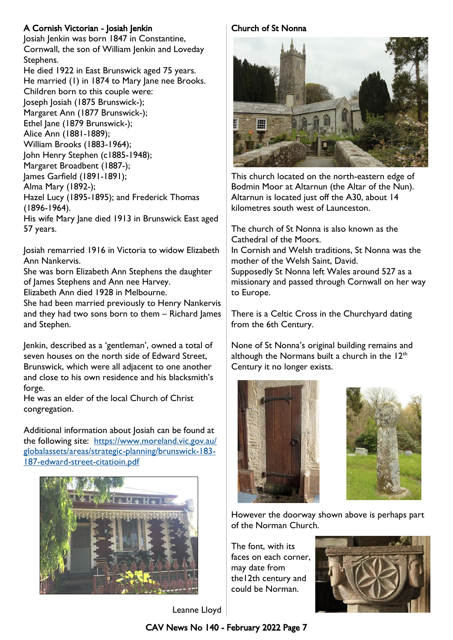## A Cornish Victorian - Josiah Jenkin

Josiah Jenkin was born 1847 in Constantine, Cornwall, the son of William Jenkin and Loveday Stephens.

He died 1922 in East Brunswick aged 75 years. He married (1) in 1874 to Mary Jane nee Brooks. Children born to this couple were: Joseph Josiah (1875 Brunswick-); Margaret Ann (1877 Brunswick-); Ethel Jane (1879 Brunswick-); Alice Ann (1881-1889); William Brooks (1883-1964); John Henry Stephen (c1885-1948); Margaret Broadbent (1887-); James Garfield (1891-1891); Alma Mary (1892-); Hazel Lucy (1895-1895); and Frederick Thomas (1896-1964). His wife Mary Jane died 1913 in Brunswick East aged 57 years.

Josiah remarried 1916 in Victoria to widow Elizabeth Ann Nankervis.

She was born Elizabeth Ann Stephens the daughter of James Stephens and Ann nee Harvey.

Elizabeth Ann died 1928 in Melbourne.

She had been married previously to Henry Nankervis and they had two sons born to them – Richard James and Stephen.

Jenkin, described as a 'gentleman', owned a total of seven houses on the north side of Edward Street, Brunswick, which were all adjacent to one another and close to his own residence and his blacksmith's forge.

He was an elder of the local Church of Christ congregation.

Additional information about Josiah can be found at the following site: [https://www.moreland.vic.gov.au/](https://www.moreland.vic.gov.au/globalassets/areas/strategic-planning/brunswick-183-187-edward-street-citatioin.pdf) [globalassets/areas/strategic-planning/brunswick-183-](https://www.moreland.vic.gov.au/globalassets/areas/strategic-planning/brunswick-183-187-edward-street-citatioin.pdf) [187-edward-street-citatioin.pdf](https://www.moreland.vic.gov.au/globalassets/areas/strategic-planning/brunswick-183-187-edward-street-citatioin.pdf)



## Leanne Lloyd

## Church of St Nonna



This church located on the north-eastern edge of Bodmin Moor at Altarnun (the Altar of the Nun). Altarnun is located just off the A30, about 14 kilometres south west of Launceston.

The church of St Nonna is also known as the Cathedral of the Moors.

In Cornish and Welsh traditions, St Nonna was the mother of the Welsh Saint, David. Supposedly St Nonna left Wales around 527 as a

missionary and passed through Cornwall on her way to Europe.

There is a Celtic Cross in the Churchyard dating from the 6th Century.

None of St Nonna's original building remains and although the Normans built a church in the  $12<sup>th</sup>$ Century it no longer exists.





However the doorway shown above is perhaps part of the Norman Church.

The font, with its faces on each corner, may date from the12th century and could be Norman.



## CAV News No 140 - February 2022 Page 7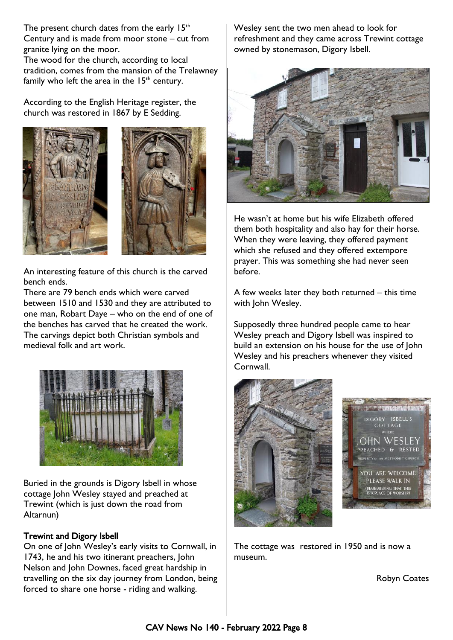The present church dates from the early  $15<sup>th</sup>$ Century and is made from moor stone – cut from granite lying on the moor.

The wood for the church, according to local tradition, comes from the mansion of the Trelawney family who left the area in the  $15<sup>th</sup>$  century.

According to the English Heritage register, the church was restored in 1867 by E Sedding.





An interesting feature of this church is the carved bench ends.

There are 79 bench ends which were carved between 1510 and 1530 and they are attributed to one man, Robart Daye – who on the end of one of the benches has carved that he created the work. The carvings depict both Christian symbols and medieval folk and art work.



Buried in the grounds is Digory Isbell in whose cottage John Wesley stayed and preached at Trewint (which is just down the road from Altarnun)

#### Trewint and Digory Isbell

On one of John Wesley's early visits to Cornwall, in 1743, he and his two itinerant preachers, John Nelson and John Downes, faced great hardship in travelling on the six day journey from London, being forced to share one horse - riding and walking.

Wesley sent the two men ahead to look for refreshment and they came across Trewint cottage owned by stonemason, Digory Isbell.



He wasn't at home but his wife Elizabeth offered them both hospitality and also hay for their horse. When they were leaving, they offered payment which she refused and they offered extempore prayer. This was something she had never seen before.

A few weeks later they both returned – this time with John Wesley.

Supposedly three hundred people came to hear Wesley preach and Digory Isbell was inspired to build an extension on his house for the use of John Wesley and his preachers whenever they visited Cornwall.





The cottage was restored in 1950 and is now a museum.

Robyn Coates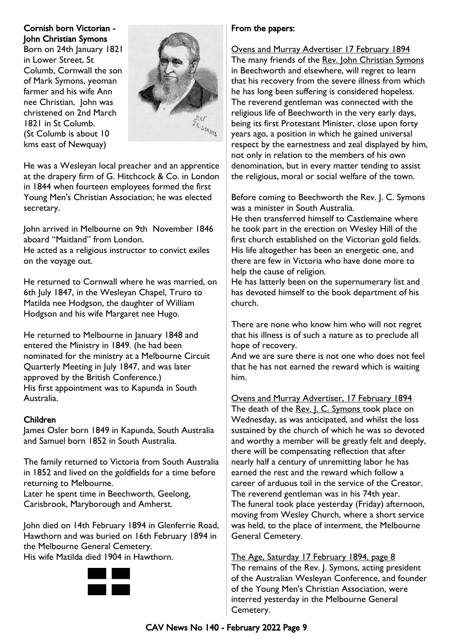## Cornish born Victorian - John Christian Symons

Born on 24th January 1821 in Lower Street, St Columb, Cornwall the son of Mark Symons, yeoman farmer and his wife Ann nee Christian, John was christened on 2nd March 1821 in St Columb. (St Columb is about 10 kms east of Newquay)



He was a Wesleyan local preacher and an apprentice at the drapery firm of G. Hitchcock & Co. in London in 1844 when fourteen employees formed the first Young Men's Christian Association; he was elected secretary.

John arrived in Melbourne on 9th November 1846 aboard "Maitland" from London.

He acted as a religious instructor to convict exiles on the voyage out.

He returned to Cornwall where he was married, on 6th July 1847, in the Wesleyan Chapel, Truro to Matilda nee Hodgson, the daughter of William Hodgson and his wife Margaret nee Hugo.

He returned to Melbourne in January 1848 and entered the Ministry in 1849. (he had been nominated for the ministry at a Melbourne Circuit Quarterly Meeting in July 1847, and was later approved by the British Conference.) His first appointment was to Kapunda in South Australia.

## Children

James Osler born 1849 in Kapunda, South Australia and Samuel born 1852 in South Australia.

The family returned to Victoria from South Australia in 1852 and lived on the goldfields for a time before returning to Melbourne.

Later he spent time in Beechworth, Geelong, Carisbrook, Maryborough and Amherst.

John died on 14th February 1894 in Glenferrie Road, Hawthorn and was buried on 16th February 1894 in the Melbourne General Cemetery.

His wife Matilda died 1904 in Hawthorn.



## From the papers:

Ovens and Murray Advertiser 17 February 1894 The many friends of the Rev. John Christian Symons in Beechworth and elsewhere, will regret to learn that his recovery from the severe illness from which he has long been suffering is considered hopeless. The reverend gentleman was connected with the religious life of Beechworth in the very early days, being its first Protestant Minister, close upon forty years ago, a position in which he gained universal respect by the earnestness and zeal displayed by him, not only in relation to the members of his own denomination, but in every matter tending to assist the religious, moral or social welfare of the town.

Before coming to Beechworth the Rev. J. C. Symons was a minister in South Australia.

He then transferred himself to Castlemaine where he took part in the erection on Wesley Hill of the first church established on the Victorian gold fields. His life altogether has been an energetic one, and there are few in Victoria who have done more to help the cause of religion.

He has latterly been on the supernumerary list and has devoted himself to the book department of his church.

There are none who know him who will not regret that his illness is of such a nature as to preclude all hope of recovery.

And we are sure there is not one who does not feel that he has not earned the reward which is waiting him.

Ovens and Murray Advertiser, 17 February 1894 The death of the Rev. J. C. Symons took place on Wednesday, as was anticipated, and whilst the loss sustained by the church of which he was so devoted and worthy a member will be greatly felt and deeply, there will be compensating reflection that after nearly half a century of unremitting labor he has earned the rest and the reward which follow a career of arduous toil in the service of the Creator. The reverend gentleman was in his 74th year. The funeral took place yesterday (Friday) afternoon, moving from Wesley Church, where a short service was held, to the place of interment, the Melbourne General Cemetery.

The Age, Saturday 17 February 1894, page 8 The remains of the Rev. J. Symons, acting president of the Australian Wesleyan Conference, and founder of the Young Men's Christian Association, were interred yesterday in the Melbourne General Cemetery.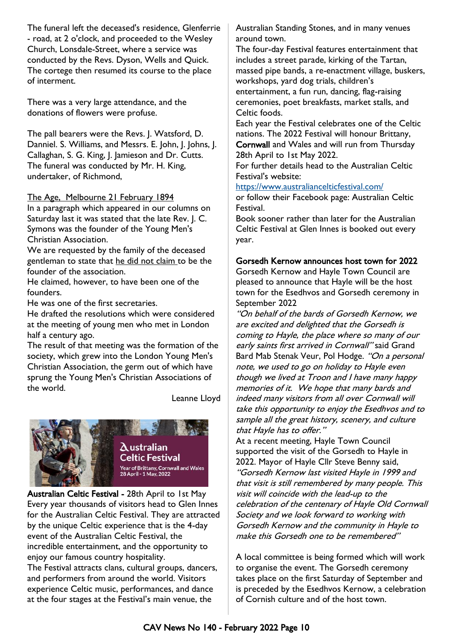The funeral left the deceased's residence, Glenferrie - road, at 2 o'clock, and proceeded to the Wesley Church, Lonsdale-Street, where a service was conducted by the Revs. Dyson, Wells and Quick. The cortege then resumed its course to the place of interment.

There was a very large attendance, and the donations of flowers were profuse.

The pall bearers were the Revs. J. Watsford, D. Danniel. S. Williams, and Messrs. E. John, J. Johns, J. Callaghan, S. G. King, J. Jamieson and Dr. Cutts. The funeral was conducted by Mr. H. King, undertaker, of Richmond,

#### The Age, Melbourne 21 February 1894

In a paragraph which appeared in our columns on Saturday last it was stated that the late Rev. J. C. Symons was the founder of the Young Men's Christian Association.

We are requested by the family of the deceased gentleman to state that he did not claim to be the founder of the association.

He claimed, however, to have been one of the founders.

He was one of the first secretaries.

He drafted the resolutions which were considered at the meeting of young men who met in London half a century ago.

The result of that meeting was the formation of the society, which grew into the London Young Men's Christian Association, the germ out of which have sprung the Young Men's Christian Associations of the world.

Leanne Lloyd



Australian Celtic Festival - 28th April to 1st May Every year thousands of visitors head to Glen Innes for the Australian Celtic Festival. They are attracted by the unique Celtic experience that is the 4-day event of the Australian Celtic Festival, the incredible entertainment, and the opportunity to enjoy our famous country hospitality. The Festival attracts clans, cultural groups, dancers, and performers from around the world. Visitors experience Celtic music, performances, and dance at the four stages at the Festival's main venue, the

Australian Standing Stones, and in many venues around town.

The four-day Festival features entertainment that includes a street parade, kirking of the Tartan, massed pipe bands, a re-enactment village, buskers, workshops, yard dog trials, children's entertainment, a fun run, dancing, flag-raising ceremonies, poet breakfasts, market stalls, and Celtic foods.

Each year the Festival celebrates one of the Celtic nations. The 2022 Festival will honour Brittany, Cornwall and Wales and will run from Thursday 28th April to 1st May 2022.

For further details head to the Australian Celtic Festival's website:

<https://www.australiancelticfestival.com/>

or follow their Facebook page: Australian Celtic Festival.

Book sooner rather than later for the Australian Celtic Festival at Glen Innes is booked out every year.

#### Gorsedh Kernow announces host town for 2022

Gorsedh Kernow and Hayle Town Council are pleased to announce that Hayle will be the host town for the Esedhvos and Gorsedh ceremony in September 2022

"On behalf of the bards of Gorsedh Kernow, we are excited and delighted that the Gorsedh is coming to Hayle, the place where so many of our early saints first arrived in Cornwall" said Grand Bard Mab Stenak Veur, Pol Hodge. "On a personal note, we used to go on holiday to Hayle even though we lived at Troon and I have many happy memories of it. We hope that many bards and indeed many visitors from all over Cornwall will take this opportunity to enjoy the Esedhvos and to sample all the great history, scenery, and culture that Hayle has to offer."

At a recent meeting, Hayle Town Council supported the visit of the Gorsedh to Hayle in 2022. Mayor of Hayle Cllr Steve Benny said, "Gorsedh Kernow last visited Hayle in 1999 and that visit is still remembered by many people. This visit will coincide with the lead-up to the celebration of the centenary of Hayle Old Cornwall Society and we look forward to working with Gorsedh Kernow and the community in Hayle to make this Gorsedh one to be remembered"

A local committee is being formed which will work to organise the event. The Gorsedh ceremony takes place on the first Saturday of September and is preceded by the Esedhvos Kernow, a celebration of Cornish culture and of the host town.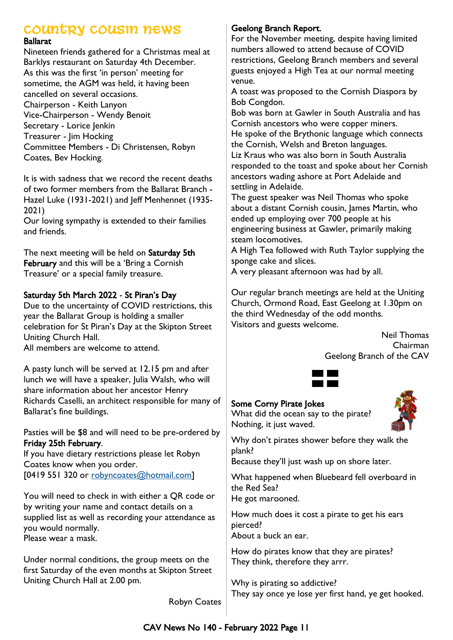## **Country Cousin News**

#### Ballarat

Nineteen friends gathered for a Christmas meal at Barklys restaurant on Saturday 4th December. As this was the first 'in person' meeting for sometime, the AGM was held, it having been cancelled on several occasions. Chairperson - Keith Lanyon Vice-Chairperson - Wendy Benoit Secretary - Lorice Jenkin Treasurer - Jim Hocking Committee Members - Di Christensen, Robyn Coates, Bev Hocking.

It is with sadness that we record the recent deaths of two former members from the Ballarat Branch - Hazel Luke (1931-2021) and Jeff Menhennet (1935- 2021)

Our loving sympathy is extended to their families and friends.

The next meeting will be held on Saturday 5th February and this will be a 'Bring a Cornish Treasure' or a special family treasure.

## Saturday 5th March 2022 - St Piran's Day

Due to the uncertainty of COVID restrictions, this year the Ballarat Group is holding a smaller celebration for St Piran's Day at the Skipton Street Uniting Church Hall.

All members are welcome to attend.

A pasty lunch will be served at 12.15 pm and after lunch we will have a speaker, Julia Walsh, who will share information about her ancestor Henry Richards Caselli, an architect responsible for many of Ballarat's fine buildings.

Pasties will be \$8 and will need to be pre-ordered by Friday 25th February.

If you have dietary restrictions please let Robyn Coates know when you order. [0419 551 320 or [robyncoates@hotmail.com\]](mailto:robyncoates@hotmail.com)

You will need to check in with either a QR code or by writing your name and contact details on a supplied list as well as recording your attendance as you would normally.

Please wear a mask.

Under normal conditions, the group meets on the first Saturday of the even months at Skipton Street Uniting Church Hall at 2.00 pm.

## Geelong Branch Report.

For the November meeting, despite having limited numbers allowed to attend because of COVID restrictions, Geelong Branch members and several guests enjoyed a High Tea at our normal meeting venue.

A toast was proposed to the Cornish Diaspora by Bob Congdon.

Bob was born at Gawler in South Australia and has Cornish ancestors who were copper miners. He spoke of the Brythonic language which connects the Cornish, Welsh and Breton languages. Liz Kraus who was also born in South Australia responded to the toast and spoke about her Cornish ancestors wading ashore at Port Adelaide and

settling in Adelaide.

The guest speaker was Neil Thomas who spoke about a distant Cornish cousin, James Martin, who ended up employing over 700 people at his engineering business at Gawler, primarily making steam locomotives.

A High Tea followed with Ruth Taylor supplying the sponge cake and slices.

A very pleasant afternoon was had by all.

Our regular branch meetings are held at the Uniting Church, Ormond Road, East Geelong at 1.30pm on the third Wednesday of the odd months. Visitors and guests welcome.

> Neil Thomas Chairman Geelong Branch of the CAV



## Some Corny Pirate Jokes

What did the ocean say to the pirate? Nothing, it just waved.



Why don't pirates shower before they walk the plank?

Because they'll just wash up on shore later.

What happened when Bluebeard fell overboard in the Red Sea?

He got marooned.

How much does it cost a pirate to get his ears pierced?

About a buck an ear.

How do pirates know that they are pirates? They think, therefore they arrr.

Why is pirating so addictive? They say once ye lose yer first hand, ye get hooked.

Robyn Coates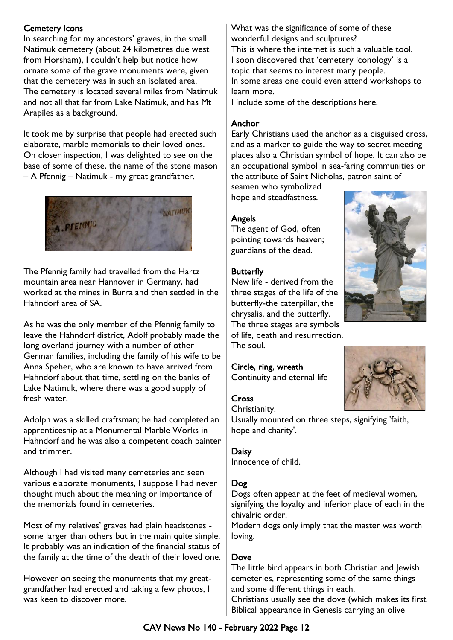## Cemetery Icons

In searching for my ancestors' graves, in the small Natimuk cemetery (about 24 kilometres due west from Horsham), I couldn't help but notice how ornate some of the grave monuments were, given that the cemetery was in such an isolated area. The cemetery is located several miles from Natimuk and not all that far from Lake Natimuk, and has Mt Arapiles as a background.

It took me by surprise that people had erected such elaborate, marble memorials to their loved ones. On closer inspection, I was delighted to see on the base of some of these, the name of the stone mason – A Pfennig – Natimuk - my great grandfather.



The Pfennig family had travelled from the Hartz mountain area near Hannover in Germany, had worked at the mines in Burra and then settled in the Hahndorf area of SA.

As he was the only member of the Pfennig family to leave the Hahndorf district, Adolf probably made the long overland journey with a number of other German families, including the family of his wife to be Anna Speher, who are known to have arrived from Hahndorf about that time, settling on the banks of Lake Natimuk, where there was a good supply of fresh water.

Adolph was a skilled craftsman; he had completed an apprenticeship at a Monumental Marble Works in Hahndorf and he was also a competent coach painter and trimmer.

Although I had visited many cemeteries and seen various elaborate monuments, I suppose I had never thought much about the meaning or importance of the memorials found in cemeteries.

Most of my relatives' graves had plain headstones some larger than others but in the main quite simple. It probably was an indication of the financial status of the family at the time of the death of their loved one.

However on seeing the monuments that my greatgrandfather had erected and taking a few photos, I was keen to discover more.

What was the significance of some of these wonderful designs and sculptures? This is where the internet is such a valuable tool. I soon discovered that 'cemetery iconology' is a topic that seems to interest many people. In some areas one could even attend workshops to learn more.

I include some of the descriptions here.

#### **Anchor**

Early Christians used the anchor as a disguised cross, and as a marker to guide the way to secret meeting places also a Christian symbol of hope. It can also be an occupational symbol in sea-faring communities or the attribute of Saint Nicholas, patron saint of

seamen who symbolized hope and steadfastness.

#### Angels

The agent of God, often pointing towards heaven; guardians of the dead.

#### **Butterfly**

New life - derived from the three stages of the life of the butterfly-the caterpillar, the chrysalis, and the butterfly. The three stages are symbols of life, death and resurrection. The soul.

#### Circle, ring, wreath

Continuity and eternal life

#### **Cross**



Usually mounted on three steps, signifying 'faith, hope and charity'.

#### Daisy Innocence of child.

#### Dog

Dogs often appear at the feet of medieval women, signifying the loyalty and inferior place of each in the chivalric order.

Modern dogs only imply that the master was worth loving.

#### Dove

The little bird appears in both Christian and Jewish cemeteries, representing some of the same things and some different things in each.

Christians usually see the dove (which makes its first Biblical appearance in Genesis carrying an olive



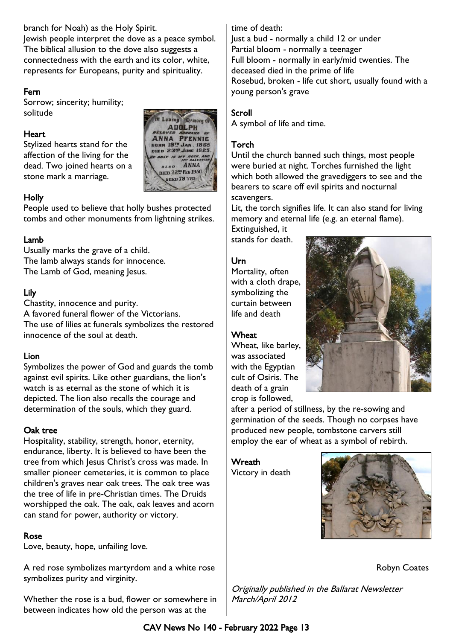branch for Noah) as the Holy Spirit.

Jewish people interpret the dove as a peace symbol. The biblical allusion to the dove also suggests a connectedness with the earth and its color, white, represents for Europeans, purity and spirituality.

## Fern

Sorrow; sincerity; humility; solitude

## **Heart**

Stylized hearts stand for the affection of the living for the dead. Two joined hearts on a stone mark a marriage.



## Holly

People used to believe that holly bushes protected tombs and other monuments from lightning strikes.

## Lamb

Usually marks the grave of a child. The lamb always stands for innocence. The Lamb of God, meaning Jesus.

## Lily

Chastity, innocence and purity. A favored funeral flower of the Victorians. The use of lilies at funerals symbolizes the restored innocence of the soul at death.

## Lion

Symbolizes the power of God and guards the tomb against evil spirits. Like other guardians, the lion's watch is as eternal as the stone of which it is depicted. The lion also recalls the courage and determination of the souls, which they guard.

## Oak tree

Hospitality, stability, strength, honor, eternity, endurance, liberty. It is believed to have been the tree from which Jesus Christ's cross was made. In smaller pioneer cemeteries, it is common to place children's graves near oak trees. The oak tree was the tree of life in pre-Christian times. The Druids worshipped the oak. The oak, oak leaves and acorn can stand for power, authority or victory.

## Rose

Love, beauty, hope, unfailing love.

A red rose symbolizes martyrdom and a white rose symbolizes purity and virginity.

Whether the rose is a bud, flower or somewhere in between indicates how old the person was at the

## time of death:

Just a bud - normally a child 12 or under Partial bloom - normally a teenager Full bloom - normally in early/mid twenties. The deceased died in the prime of life Rosebud, broken - life cut short, usually found with a young person's grave

## Scroll

A symbol of life and time.

## Torch

Until the church banned such things, most people were buried at night. Torches furnished the light which both allowed the gravediggers to see and the bearers to scare off evil spirits and nocturnal scavengers.

Lit, the torch signifies life. It can also stand for living memory and eternal life (e.g. an eternal flame).

Extinguished, it stands for death.

## Urn

Mortality, often with a cloth drape, symbolizing the curtain between life and death

## **Wheat**

Wheat, like barley, was associated with the Egyptian cult of Osiris. The death of a grain crop is followed,



after a period of stillness, by the re-sowing and germination of the seeds. Though no corpses have produced new people, tombstone carvers still employ the ear of wheat as a symbol of rebirth.

**Wreath** Victory in death



Robyn Coates

Originally published in the Ballarat Newsletter March/April 2012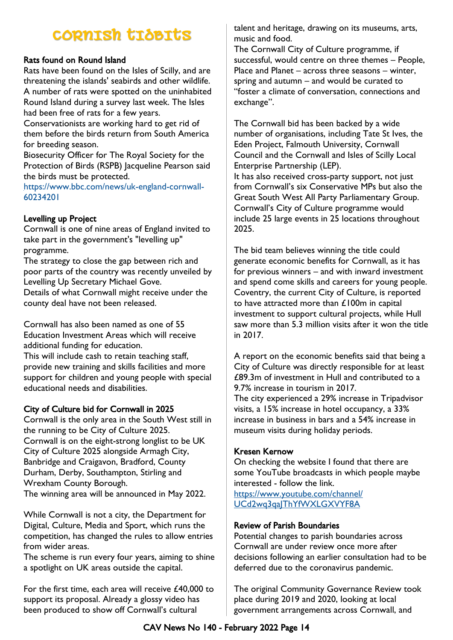# **CORNISH TIDBITS**

## Rats found on Round Island

Rats have been found on the Isles of Scilly, and are threatening the islands' seabirds and other wildlife. A number of rats were spotted on the uninhabited Round Island during a survey last week. The Isles had been free of rats for a few years.

Conservationists are working hard to get rid of them before the birds return from South America for breeding season.

Biosecurity Officer for The Royal Society for the Protection of Birds (RSPB) Jacqueline Pearson said the birds must be protected.

[h](https://www.bbc.com/news/uk-england-cornwall-60234201)ttps://www.bbc.com/news/uk-england-cornwall-60234201

## Levelling up Project

Cornwall is one of nine areas of England invited to take part in the government's "levelling up" programme.

The strategy to close the gap between rich and poor parts of the country was recently unveiled by Levelling Up Secretary Michael Gove.

Details of what Cornwall might receive under the county deal have not been released.

Cornwall has also been named as one of 55 Education Investment Areas which will receive additional funding for education.

This will include cash to retain teaching staff, provide new training and skills facilities and more support for children and young people with special educational needs and disabilities.

## City of Culture bid for Cornwall in 2025

Cornwall is the only area in the South West still in the running to be City of Culture 2025. Cornwall is on the eight-strong longlist to be UK City of Culture 2025 alongside Armagh City, Banbridge and Craigavon, Bradford, County Durham, Derby, Southampton, Stirling and Wrexham County Borough.

The winning area will be announced in May 2022.

While Cornwall is not a city, the Department for Digital, Culture, Media and Sport, which runs the competition, has changed the rules to allow entries from wider areas.

The scheme is run every four years, aiming to shine a spotlight on UK areas outside the capital.

For the first time, each area will receive £40,000 to support its proposal. Already a glossy video has been produced to show off Cornwall's cultural

talent and heritage, drawing on its museums, arts, music and food.

The Cornwall City of Culture programme, if successful, would centre on three themes – People, Place and Planet – across three seasons – winter, spring and autumn – and would be curated to "foster a climate of conversation, connections and exchange".

The Cornwall bid has been backed by a wide number of organisations, including Tate St Ives, the Eden Project, Falmouth University, Cornwall Council and the Cornwall and Isles of Scilly Local Enterprise Partnership (LEP).

It has also received cross-party support, not just from Cornwall's six Conservative MPs but also the Great South West All Party Parliamentary Group. Cornwall's City of Culture programme would include 25 large events in 25 locations throughout 2025.

The bid team believes winning the title could generate economic benefits for Cornwall, as it has for previous winners – and with inward investment and spend come skills and careers for young people. Coventry, the current City of Culture, is reported to have attracted more than £100m in capital investment to support cultural projects, while Hull saw more than 5.3 million visits after it won the title in 2017.

A report on the economic benefits said that being a City of Culture was directly responsible for at least £89.3m of investment in Hull and contributed to a 9.7% increase in tourism in 2017.

The city experienced a 29% increase in Tripadvisor visits, a 15% increase in hotel occupancy, a 33% increase in business in bars and a 54% increase in museum visits during holiday periods.

## Kresen Kernow

On checking the website I found that there are some YouTube broadcasts in which people maybe interested - follow the link.

[https://www.youtube.com/channel/](https://www.youtube.com/channel/UCd2wq3qaJThYfWXLGXVYF8A) UCd2wq3qa|ThYfWXLGXVYF8A

## Review of Parish Boundaries

Potential changes to parish boundaries across Cornwall are under review once more after decisions following an earlier consultation had to be deferred due to the coronavirus pandemic.

The original Community Governance Review took place during 2019 and 2020, looking at local government arrangements across Cornwall, and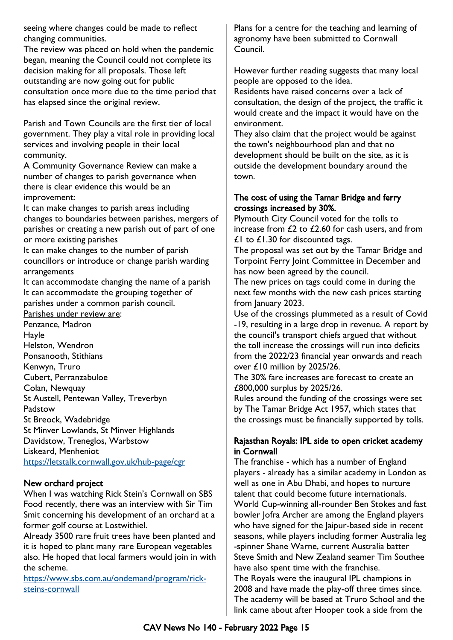seeing where changes could be made to reflect changing communities.

The review was placed on hold when the pandemic began, meaning the Council could not complete its decision making for all proposals. Those left outstanding are now going out for public consultation once more due to the time period that has elapsed since the original review.

Parish and Town Councils are the first tier of local government. They play a vital role in providing local services and involving people in their local community.

A Community Governance Review can make a number of changes to parish governance when there is clear evidence this would be an improvement:

It can make changes to parish areas including changes to boundaries between parishes, mergers of parishes or creating a new parish out of part of one or more existing parishes

It can make changes to the number of parish councillors or introduce or change parish warding arrangements

It can accommodate changing the name of a parish It can accommodate the grouping together of parishes under a common parish council.

Parishes under review are:

Penzance, Madron Hayle Helston, Wendron Ponsanooth, Stithians Kenwyn, Truro Cubert, Perranzabuloe Colan, Newquay St Austell, Pentewan Valley, Treverbyn Padstow St Breock, Wadebridge St Minver Lowlands, St Minver Highlands Davidstow, Treneglos, Warbstow Liskeard, Menheniot [h](https://letstalk.cornwall.gov.uk/hub-page/cgr)ttps://letstalk.cornwall.gov.uk/hub-page/cgr

## New orchard project

When I was watching Rick Stein's Cornwall on SBS Food recently, there was an interview with Sir Tim Smit concerning his development of an orchard at a former golf course at Lostwithiel.

Already 3500 rare fruit trees have been planted and it is hoped to plant many rare European vegetables also. He hoped that local farmers would join in with the scheme.

[https://www.sbs.com.au/ondemand/program/rick](https://www.sbs.com.au/ondemand/program/rick-steins-cornwall)[steins-cornwall](https://www.sbs.com.au/ondemand/program/rick-steins-cornwall)

Plans for a centre for the teaching and learning of agronomy have been submitted to Cornwall Council.

However further reading suggests that many local people are opposed to the idea.

Residents have raised concerns over a lack of consultation, the design of the project, the traffic it would create and the impact it would have on the environment.

They also claim that the project would be against the town's neighbourhood plan and that no development should be built on the site, as it is outside the development boundary around the town.

## The cost of using the Tamar Bridge and ferry crossings increased by 30%.

Plymouth City Council voted for the tolls to increase from £2 to £2.60 for cash users, and from  $£1$  to  $£1.30$  for discounted tags.

The proposal was set out by the Tamar Bridge and Torpoint Ferry Joint Committee in December and has now been agreed by the council.

The new prices on tags could come in during the next few months with the new cash prices starting from January 2023.

Use of the crossings plummeted as a result of Covid -19, resulting in a large drop in revenue. A report by the council's transport chiefs argued that without the toll increase the crossings will run into deficits from the 2022/23 financial year onwards and reach over £10 million by 2025/26.

The 30% fare increases are forecast to create an £800,000 surplus by 2025/26.

Rules around the funding of the crossings were set by The Tamar Bridge Act 1957, which states that the crossings must be financially supported by tolls.

## Rajasthan Royals: IPL side to open cricket academy in Cornwall

The franchise - which has a number of England players - already has a similar academy in London as well as one in Abu Dhabi, and hopes to nurture talent that could become future internationals. World Cup-winning all-rounder Ben Stokes and fast bowler Jofra Archer are among the England players who have signed for the Jaipur-based side in recent seasons, while players including former Australia leg -spinner Shane Warne, current Australia batter Steve Smith and New Zealand seamer Tim Southee have also spent time with the franchise.

The Royals were the inaugural IPL champions in 2008 and have made the play-off three times since. The academy will be based at Truro School and the link came about after Hooper took a side from the